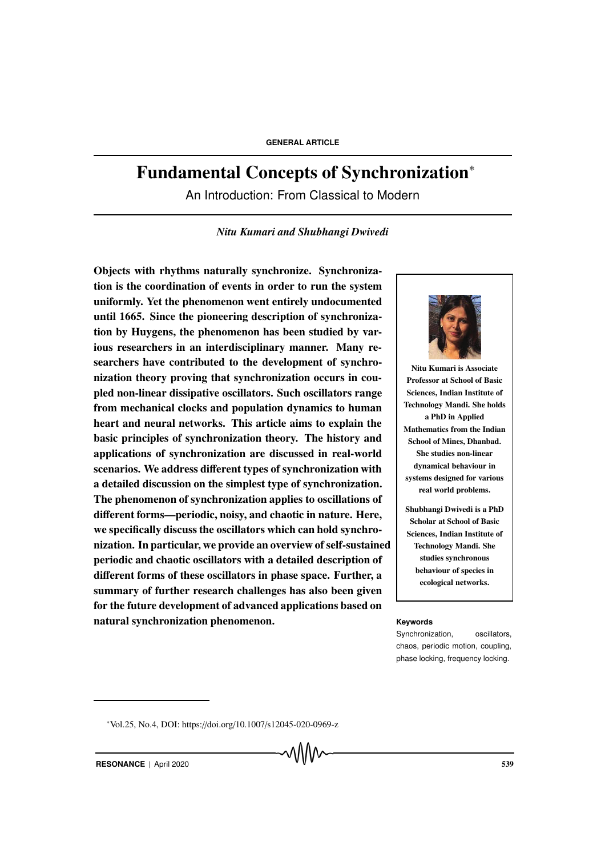# Fundamental Concepts of Synchronization<sup>∗</sup>

An Introduction: From Classical to Modern

*Nitu Kumari and Shubhangi Dwivedi*

Objects with rhythms naturally synchronize. Synchronization is the coordination of events in order to run the system uniformly. Yet the phenomenon went entirely undocumented until 1665. Since the pioneering description of synchronization by Huygens, the phenomenon has been studied by various researchers in an interdisciplinary manner. Many researchers have contributed to the development of synchronization theory proving that synchronization occurs in coupled non-linear dissipative oscillators. Such oscillators range from mechanical clocks and population dynamics to human heart and neural networks. This article aims to explain the basic principles of synchronization theory. The history and applications of synchronization are discussed in real-world scenarios. We address different types of synchronization with a detailed discussion on the simplest type of synchronization. The phenomenon of synchronization applies to oscillations of different forms—periodic, noisy, and chaotic in nature. Here, we specifically discuss the oscillators which can hold synchronization. In particular, we provide an overview of self-sustained periodic and chaotic oscillators with a detailed description of different forms of these oscillators in phase space. Further, a summary of further research challenges has also been given for the future development of advanced applications based on natural synchronization phenomenon. **Keywords** 



Nitu Kumari is Associate Professor at School of Basic Sciences, Indian Institute of Technology Mandi. She holds a PhD in Applied Mathematics from the Indian School of Mines, Dhanbad. She studies non-linear dynamical behaviour in systems designed for various real world problems.

Shubhangi Dwivedi is a PhD Scholar at School of Basic Sciences, Indian Institute of Technology Mandi. She studies synchronous behaviour of species in ecological networks.

Synchronization, oscillators, chaos, periodic motion, coupling, phase locking, frequency locking.

<sup>∗</sup>Vol.25, No.4, DOI: https://doi.org/10.1007/s12045-020-0969-z

**RESONANCE** | April 2020 539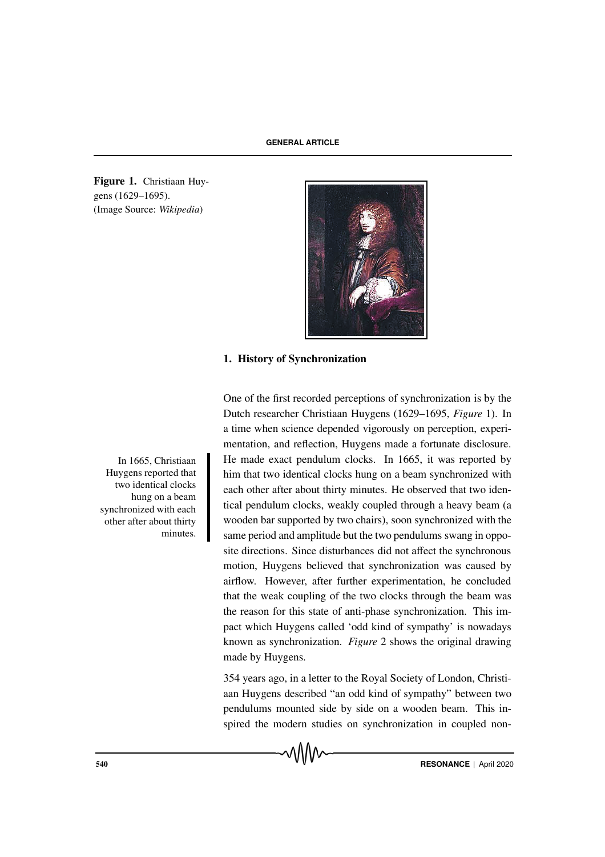Figure 1. Christiaan Huygens (1629–1695). (Image Source: *Wikipedia*)



One of the first recorded perceptions of synchronization is by the

# 1. History of Synchronization

Dutch researcher Christiaan Huygens (1629–1695, *Figure* 1). In a time when science depended vigorously on perception, experimentation, and reflection, Huygens made a fortunate disclosure. In 1665, Christiaan He made exact pendulum clocks. In 1665, it was reported by him that two identical clocks hung on a beam synchronized with each other after about thirty minutes. He observed that two identical pendulum clocks, weakly coupled through a heavy beam (a wooden bar supported by two chairs), soon synchronized with the same period and amplitude but the two pendulums swang in opposite directions. Since disturbances did not affect the synchronous motion, Huygens believed that synchronization was caused by airflow. However, after further experimentation, he concluded that the weak coupling of the two clocks through the beam was the reason for this state of anti-phase synchronization. This impact which Huygens called 'odd kind of sympathy' is nowadays known as synchronization. *Figure* 2 shows the original drawing made by Huygens.

> 354 years ago, in a letter to the Royal Society of London, Christiaan Huygens described "an odd kind of sympathy" between two pendulums mounted side by side on a wooden beam. This inspired the modern studies on synchronization in coupled non-

Huygens reported that two identical clocks hung on a beam synchronized with each other after about thirty minutes.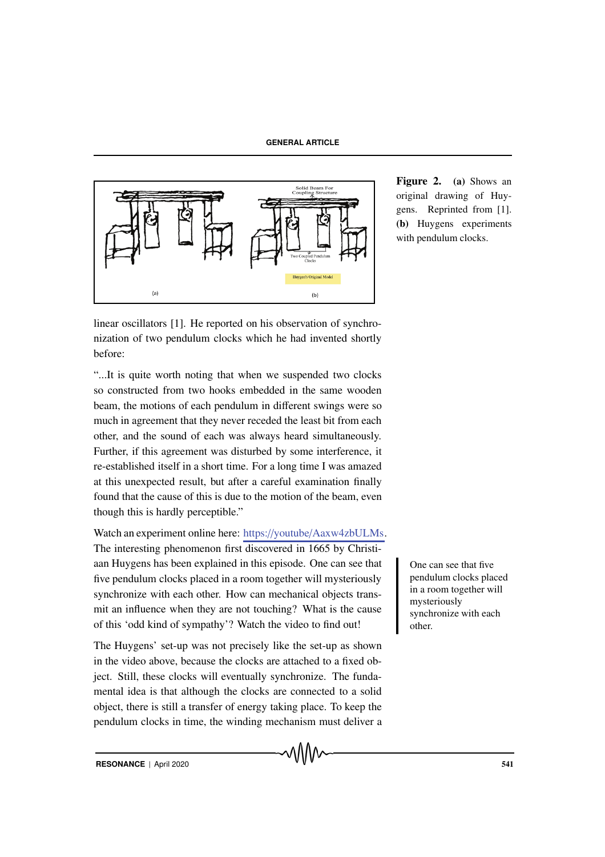

Figure 2. (a) Shows an original drawing of Huygens. Reprinted from [1]. (b) Huygens experiments with pendulum clocks.

linear oscillators [1]. He reported on his observation of synchronization of two pendulum clocks which he had invented shortly before:

"...It is quite worth noting that when we suspended two clocks so constructed from two hooks embedded in the same wooden beam, the motions of each pendulum in different swings were so much in agreement that they never receded the least bit from each other, and the sound of each was always heard simultaneously. Further, if this agreement was disturbed by some interference, it re-established itself in a short time. For a long time I was amazed at this unexpected result, but after a careful examination finally found that the cause of this is due to the motion of the beam, even though this is hardly perceptible."

Watch an experiment online here: https://youtube/Aaxw4zbULMs. The interesting phenomenon first discovered in 1665 by Christiaan Huygens has been explained in this episode. One can see that one can see that five five pendulum clocks placed in a room together will mysteriously synchronize with each other. How can mechanical objects transmit an influence when they are not touching? What is the cause of this 'odd kind of sympathy'? Watch the video to find out!

The Huygens' set-up was not precisely like the set-up as shown in the video above, because the clocks are attached to a fixed object. Still, these clocks will eventually synchronize. The fundamental idea is that although the clocks are connected to a solid object, there is still a transfer of energy taking place. To keep the pendulum clocks in time, the winding mechanism must deliver a

vψψν

pendulum clocks placed in a room together will mysteriously synchronize with each other.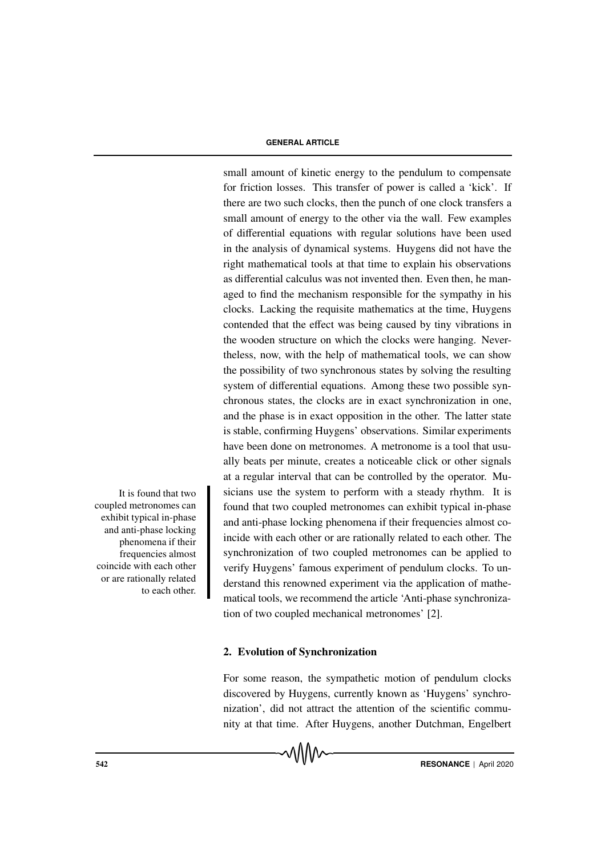small amount of kinetic energy to the pendulum to compensate for friction losses. This transfer of power is called a 'kick'. If there are two such clocks, then the punch of one clock transfers a small amount of energy to the other via the wall. Few examples of differential equations with regular solutions have been used in the analysis of dynamical systems. Huygens did not have the right mathematical tools at that time to explain his observations as differential calculus was not invented then. Even then, he managed to find the mechanism responsible for the sympathy in his clocks. Lacking the requisite mathematics at the time, Huygens contended that the effect was being caused by tiny vibrations in the wooden structure on which the clocks were hanging. Nevertheless, now, with the help of mathematical tools, we can show the possibility of two synchronous states by solving the resulting system of differential equations. Among these two possible synchronous states, the clocks are in exact synchronization in one, and the phase is in exact opposition in the other. The latter state is stable, confirming Huygens' observations. Similar experiments have been done on metronomes. A metronome is a tool that usually beats per minute, creates a noticeable click or other signals at a regular interval that can be controlled by the operator. Mu-It is found that two sicians use the system to perform with a steady rhythm. It is found that two coupled metronomes can exhibit typical in-phase and anti-phase locking phenomena if their frequencies almost coincide with each other or are rationally related to each other. The synchronization of two coupled metronomes can be applied to verify Huygens' famous experiment of pendulum clocks. To understand this renowned experiment via the application of mathematical tools, we recommend the article 'Anti-phase synchronization of two coupled mechanical metronomes' [2].

# 2. Evolution of Synchronization

For some reason, the sympathetic motion of pendulum clocks discovered by Huygens, currently known as 'Huygens' synchronization', did not attract the attention of the scientific community at that time. After Huygens, another Dutchman, Engelbert

coupled metronomes can exhibit typical in-phase and anti-phase locking phenomena if their frequencies almost coincide with each other or are rationally related to each other.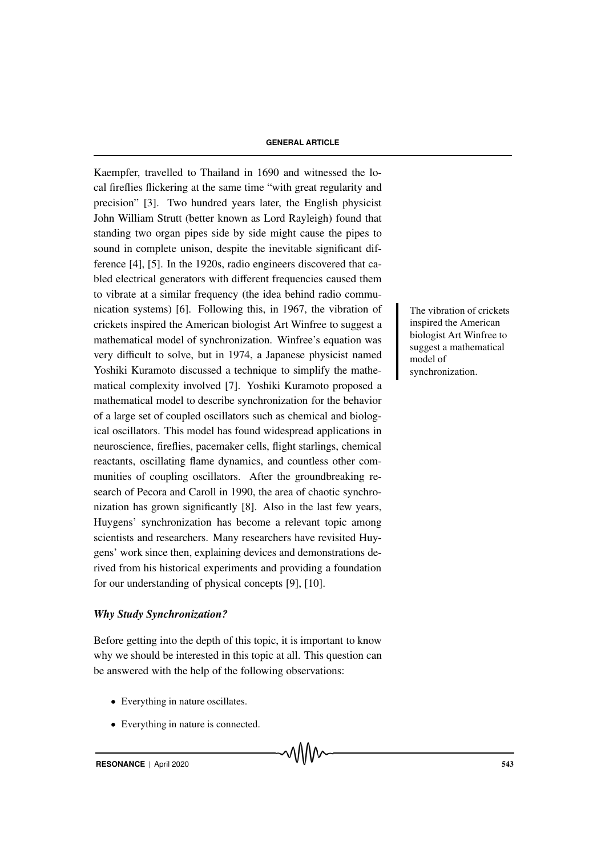Kaempfer, travelled to Thailand in 1690 and witnessed the local fireflies flickering at the same time "with great regularity and precision" [3]. Two hundred years later, the English physicist John William Strutt (better known as Lord Rayleigh) found that standing two organ pipes side by side might cause the pipes to sound in complete unison, despite the inevitable significant difference [4], [5]. In the 1920s, radio engineers discovered that cabled electrical generators with different frequencies caused them to vibrate at a similar frequency (the idea behind radio communication systems) [6]. Following this, in 1967, the vibration of The vibration of crickets crickets inspired the American biologist Art Winfree to suggest a mathematical model of synchronization. Winfree's equation was very difficult to solve, but in 1974, a Japanese physicist named Yoshiki Kuramoto discussed a technique to simplify the mathematical complexity involved [7]. Yoshiki Kuramoto proposed a mathematical model to describe synchronization for the behavior of a large set of coupled oscillators such as chemical and biological oscillators. This model has found widespread applications in neuroscience, fireflies, pacemaker cells, flight starlings, chemical reactants, oscillating flame dynamics, and countless other communities of coupling oscillators. After the groundbreaking research of Pecora and Caroll in 1990, the area of chaotic synchronization has grown significantly [8]. Also in the last few years, Huygens' synchronization has become a relevant topic among scientists and researchers. Many researchers have revisited Huygens' work since then, explaining devices and demonstrations derived from his historical experiments and providing a foundation for our understanding of physical concepts [9], [10].

#### *Why Study Synchronization?*

Before getting into the depth of this topic, it is important to know why we should be interested in this topic at all. This question can be answered with the help of the following observations:

- Everything in nature oscillates.
- Everything in nature is connected.

inspired the American biologist Art Winfree to suggest a mathematical model of synchronization.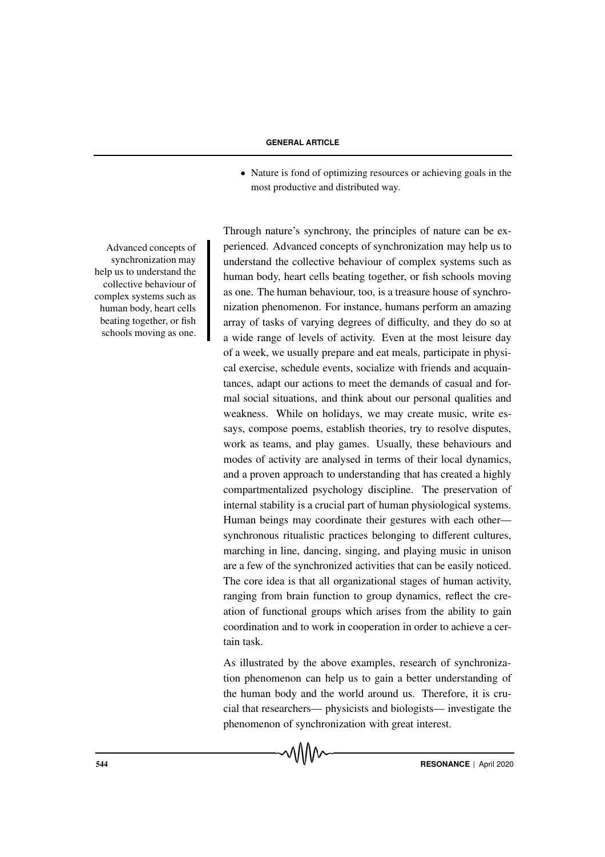synchronization may help us to understand the collective behaviour of complex systems such as human body, heart cells beating together, or fish schools moving as one. • Nature is fond of optimizing resources or achieving goals in the most productive and distributed way.

Through nature's synchrony, the principles of nature can be ex-Advanced concepts of perienced. Advanced concepts of synchronization may help us to understand the collective behaviour of complex systems such as human body, heart cells beating together, or fish schools moving as one. The human behaviour, too, is a treasure house of synchronization phenomenon. For instance, humans perform an amazing array of tasks of varying degrees of difficulty, and they do so at a wide range of levels of activity. Even at the most leisure day of a week, we usually prepare and eat meals, participate in physical exercise, schedule events, socialize with friends and acquaintances, adapt our actions to meet the demands of casual and formal social situations, and think about our personal qualities and weakness. While on holidays, we may create music, write essays, compose poems, establish theories, try to resolve disputes, work as teams, and play games. Usually, these behaviours and modes of activity are analysed in terms of their local dynamics, and a proven approach to understanding that has created a highly compartmentalized psychology discipline. The preservation of internal stability is a crucial part of human physiological systems. Human beings may coordinate their gestures with each other synchronous ritualistic practices belonging to different cultures, marching in line, dancing, singing, and playing music in unison are a few of the synchronized activities that can be easily noticed. The core idea is that all organizational stages of human activity, ranging from brain function to group dynamics, reflect the creation of functional groups which arises from the ability to gain coordination and to work in cooperation in order to achieve a certain task.

> As illustrated by the above examples, research of synchronization phenomenon can help us to gain a better understanding of the human body and the world around us. Therefore, it is crucial that researchers— physicists and biologists— investigate the phenomenon of synchronization with great interest.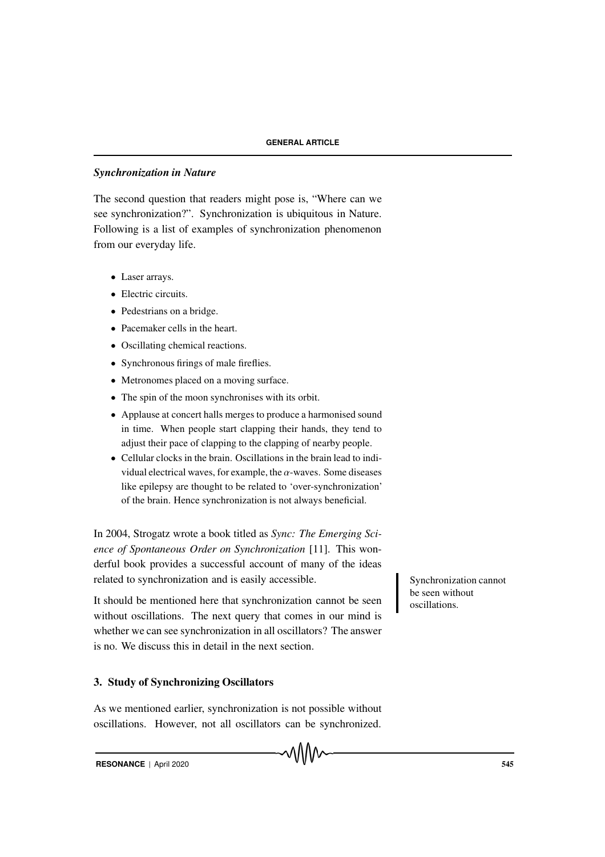# *Synchronization in Nature*

The second question that readers might pose is, "Where can we see synchronization?". Synchronization is ubiquitous in Nature. Following is a list of examples of synchronization phenomenon from our everyday life.

- Laser arrays.
- Electric circuits.
- Pedestrians on a bridge.
- Pacemaker cells in the heart.
- Oscillating chemical reactions.
- Synchronous firings of male fireflies.
- Metronomes placed on a moving surface.
- The spin of the moon synchronises with its orbit.
- Applause at concert halls merges to produce a harmonised sound in time. When people start clapping their hands, they tend to adjust their pace of clapping to the clapping of nearby people.
- Cellular clocks in the brain. Oscillations in the brain lead to individual electrical waves, for example, the  $\alpha$ -waves. Some diseases like epilepsy are thought to be related to 'over-synchronization' of the brain. Hence synchronization is not always beneficial.

In 2004, Strogatz wrote a book titled as *Sync: The Emerging Science of Spontaneous Order on Synchronization* [11]. This wonderful book provides a successful account of many of the ideas related to synchronization and is easily accessible. Synchronization cannot

It should be mentioned here that synchronization cannot be seen oscillations. without oscillations. The next query that comes in our mind is whether we can see synchronization in all oscillators? The answer is no. We discuss this in detail in the next section.

# 3. Study of Synchronizing Oscillators

As we mentioned earlier, synchronization is not possible without oscillations. However, not all oscillators can be synchronized.

be seen without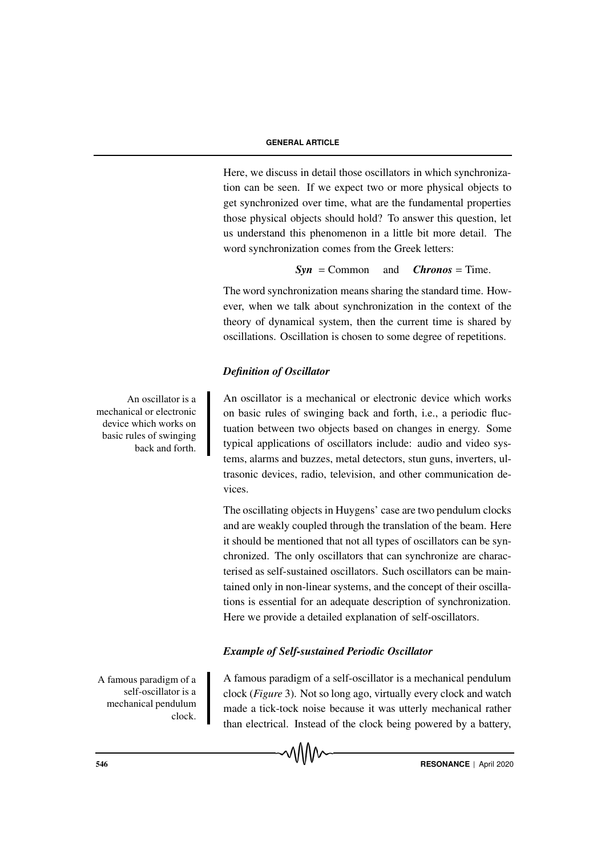Here, we discuss in detail those oscillators in which synchronization can be seen. If we expect two or more physical objects to get synchronized over time, what are the fundamental properties those physical objects should hold? To answer this question, let us understand this phenomenon in a little bit more detail. The word synchronization comes from the Greek letters:

*Syn* = Common and *Chronos* = Time.

The word synchronization means sharing the standard time. However, when we talk about synchronization in the context of the theory of dynamical system, then the current time is shared by oscillations. Oscillation is chosen to some degree of repetitions.

# *Definition of Oscillator*

An oscillator is a mechanical or electronic device which works on basic rules of swinging back and forth, i.e., a periodic fluctuation between two objects based on changes in energy. Some typical applications of oscillators include: audio and video systems, alarms and buzzes, metal detectors, stun guns, inverters, ultrasonic devices, radio, television, and other communication devices.

The oscillating objects in Huygens' case are two pendulum clocks and are weakly coupled through the translation of the beam. Here it should be mentioned that not all types of oscillators can be synchronized. The only oscillators that can synchronize are characterised as self-sustained oscillators. Such oscillators can be maintained only in non-linear systems, and the concept of their oscillations is essential for an adequate description of synchronization. Here we provide a detailed explanation of self-oscillators.

# *Example of Self-sustained Periodic Oscillator*

A famous paradigm of a self-oscillator is a mechanical pendulum clock.

famous paradigm of a self-oscillator is a mechanical pendulum clock (*Figure* 3). Not so long ago, virtually every clock and watch made a tick-tock noise because it was utterly mechanical rather than electrical. Instead of the clock being powered by a battery,



An oscillator is a mechanical or electronic device which works on basic rules of swinging back and forth.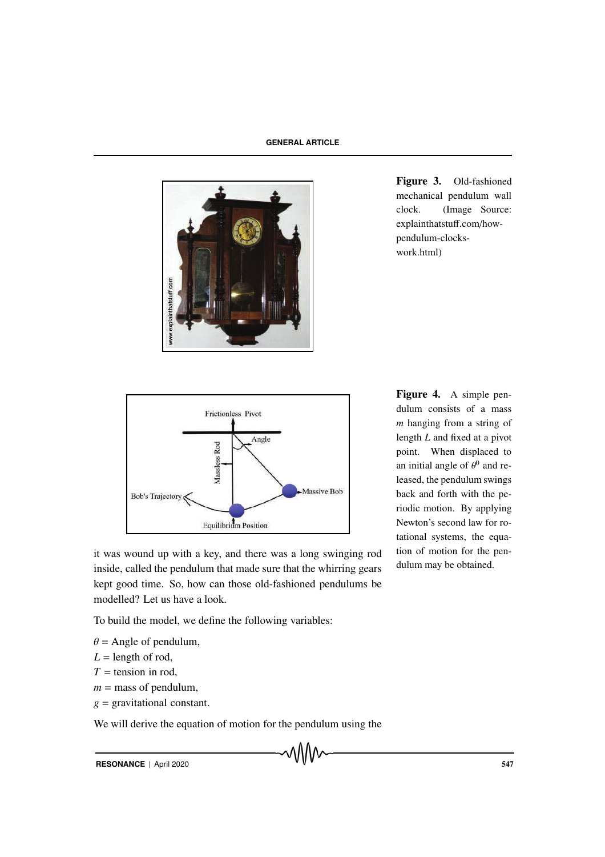

Figure 3. Old-fashioned mechanical pendulum wall clock. (Image Source: explainthatstuff.com/howpendulum-clockswork.html)



Figure 4. A simple pendulum consists of a mass *m* hanging from a string of length *L* and fixed at a pivot point. When displaced to an initial angle of  $\theta^0$  and released, the pendulum swings back and forth with the periodic motion. By applying Newton's second law for rotational systems, the equation of motion for the pendulum may be obtained.

it was wound up with a key, and there was a long swinging rod inside, called the pendulum that made sure that the whirring gears kept good time. So, how can those old-fashioned pendulums be modelled? Let us have a look.

To build the model, we define the following variables:

 $\theta$  = Angle of pendulum,

 $L =$  length of rod,

- $T =$  tension in rod,
- $m =$  mass of pendulum,
- $g =$  gravitational constant.

We will derive the equation of motion for the pendulum using the

**RESONANCE** | April 2020 547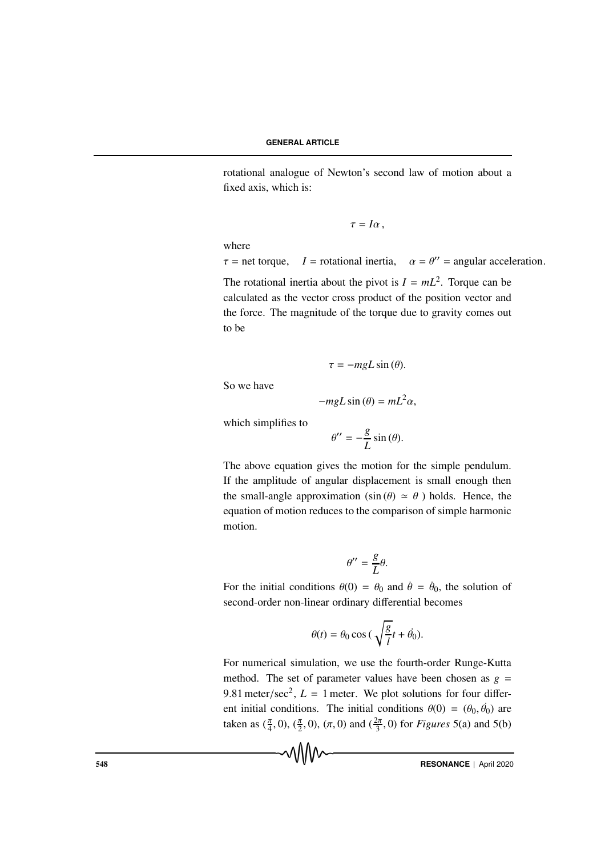rotational analogue of Newton's second law of motion about a fixed axis, which is:

$$
\tau = I\alpha \,,
$$

where

 $\tau$  = net torque, *I* = rotational inertia,  $\alpha = \theta'$  = angular acceleration. The rotational inertia about the pivot is  $I = mL^2$ . Torque can be calculated as the vector cross product of the position vector and the force. The magnitude of the torque due to gravity comes out to be

$$
\tau = -mgL\sin{(\theta)}.
$$

So we have

$$
-mgL\sin{(\theta)} = mL^2\alpha,
$$

which simplifies to

$$
\theta'' = -\frac{g}{L}\sin{(\theta)}.
$$

The above equation gives the motion for the simple pendulum. If the amplitude of angular displacement is small enough then the small-angle approximation (sin  $(\theta) \approx \theta$ ) holds. Hence, the equation of motion reduces to the comparison of simple harmonic motion.

$$
\theta'' = \frac{g}{L}\theta.
$$

For the initial conditions  $\theta(0) = \theta_0$  and  $\dot{\theta} = \dot{\theta}_0$ , the solution of second-order non-linear ordinary differential becomes

$$
\theta(t) = \theta_0 \cos\left(\sqrt{\frac{g}{l}}t + \dot{\theta}_0\right).
$$

For numerical simulation, we use the fourth-order Runge-Kutta method. The set of parameter values have been chosen as  $g =$ 9.81 meter/sec<sup>2</sup>,  $L = 1$  meter. We plot solutions for four different initial conditions. The initial conditions  $\theta(0) = (\theta_0, \dot{\theta}_0)$  are taken as  $(\frac{\pi}{4}, 0)$ ,  $(\frac{\pi}{2}, 0)$ ,  $(\pi, 0)$  and  $(\frac{2\pi}{3}, 0)$  for *Figures* 5(a) and 5(b)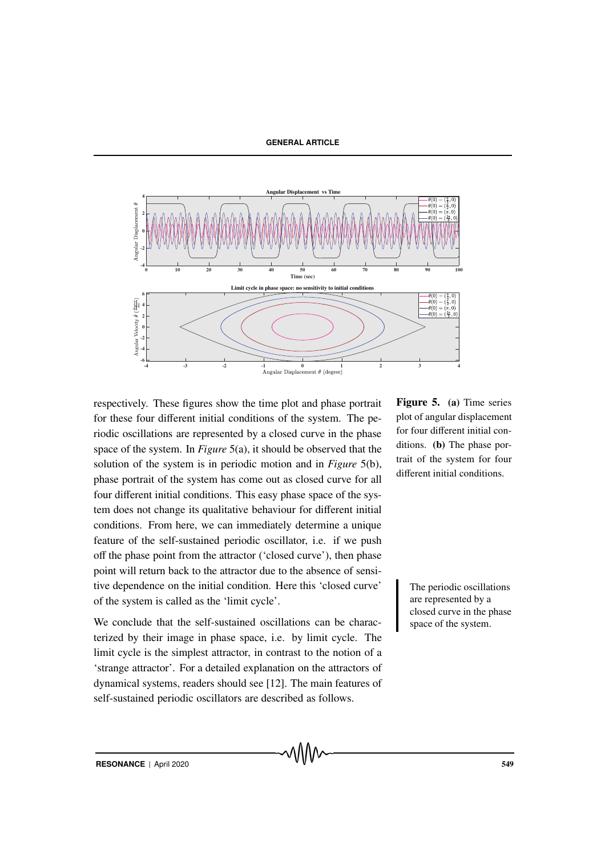

respectively. These figures show the time plot and phase portrait for these four different initial conditions of the system. The periodic oscillations are represented by a closed curve in the phase space of the system. In *Figure* 5(a), it should be observed that the solution of the system is in periodic motion and in *Figure* 5(b), phase portrait of the system has come out as closed curve for all four different initial conditions. This easy phase space of the system does not change its qualitative behaviour for different initial conditions. From here, we can immediately determine a unique feature of the self-sustained periodic oscillator, i.e. if we push off the phase point from the attractor ('closed curve'), then phase point will return back to the attractor due to the absence of sensitive dependence on the initial condition. Here this 'closed curve' The periodic oscillations of the system is called as the 'limit cycle'.

We conclude that the self-sustained oscillations can be characterized by their image in phase space, i.e. by limit cycle. The limit cycle is the simplest attractor, in contrast to the notion of a 'strange attractor'. For a detailed explanation on the attractors of dynamical systems, readers should see [12]. The main features of self-sustained periodic oscillators are described as follows.

Figure 5. (a) Time series plot of angular displacement for four different initial conditions. (b) The phase portrait of the system for four different initial conditions.

> are represented by a closed curve in the phase space of the system.

**RESONANCE** | April 2020 **549 S**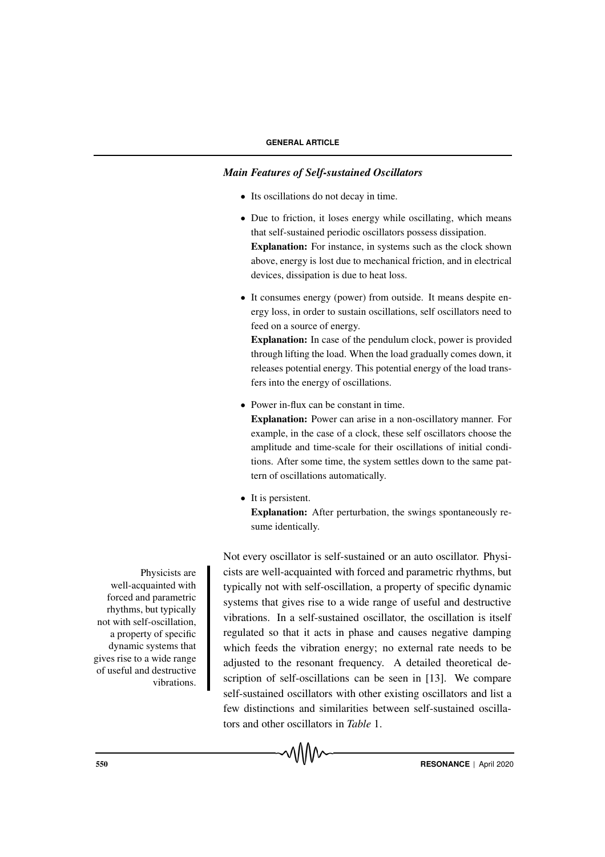# *Main Features of Self-sustained Oscillators*

- Its oscillations do not decay in time.
- Due to friction, it loses energy while oscillating, which means that self-sustained periodic oscillators possess dissipation. Explanation: For instance, in systems such as the clock shown above, energy is lost due to mechanical friction, and in electrical devices, dissipation is due to heat loss.
- It consumes energy (power) from outside. It means despite energy loss, in order to sustain oscillations, self oscillators need to feed on a source of energy.

Explanation: In case of the pendulum clock, power is provided through lifting the load. When the load gradually comes down, it releases potential energy. This potential energy of the load transfers into the energy of oscillations.

• Power in-flux can be constant in time.

Explanation: Power can arise in a non-oscillatory manner. For example, in the case of a clock, these self oscillators choose the amplitude and time-scale for their oscillations of initial conditions. After some time, the system settles down to the same pattern of oscillations automatically.

• It is persistent. Explanation: After perturbation, the swings spontaneously resume identically.

Not every oscillator is self-sustained or an auto oscillator. Physicists are well-acquainted with forced and parametric rhythms, but typically not with self-oscillation, a property of specific dynamic systems that gives rise to a wide range of useful and destructive vibrations. In a self-sustained oscillator, the oscillation is itself regulated so that it acts in phase and causes negative damping which feeds the vibration energy; no external rate needs to be adjusted to the resonant frequency. A detailed theoretical description of self-oscillations can be seen in [13]. We compare self-sustained oscillators with other existing oscillators and list a few distinctions and similarities between self-sustained oscillators and other oscillators in *Table* 1.

Physicists are well-acquainted with forced and parametric rhythms, but typically not with self-oscillation, a property of specific dynamic systems that gives rise to a wide range of useful and destructive vibrations.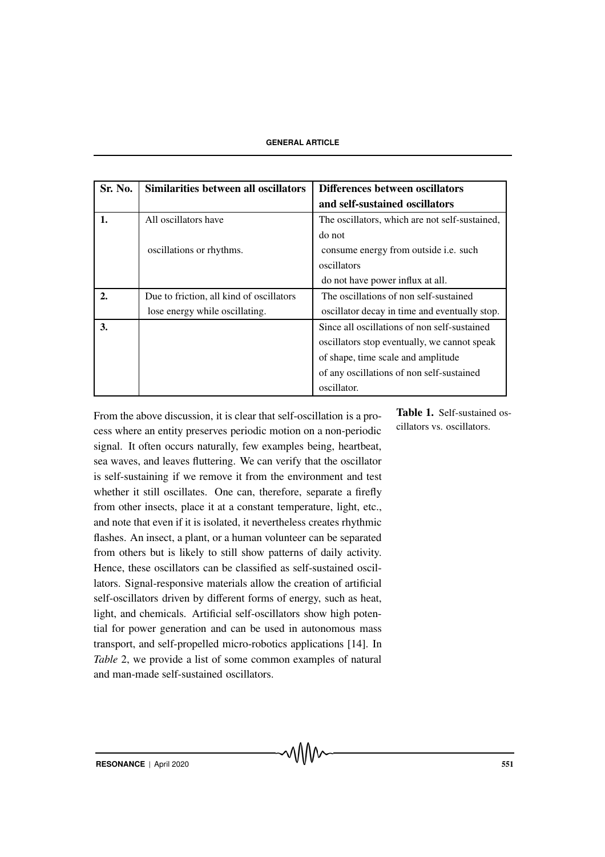| Sr. No. | Similarities between all oscillators     | Differences between oscillators                |
|---------|------------------------------------------|------------------------------------------------|
|         |                                          | and self-sustained oscillators                 |
| 1.      | All oscillators have                     | The oscillators, which are not self-sustained, |
|         |                                          | do not                                         |
|         | oscillations or rhythms.                 | consume energy from outside <i>i.e.</i> such   |
|         |                                          | oscillators                                    |
|         |                                          | do not have power influx at all.               |
| 2.      | Due to friction, all kind of oscillators | The oscillations of non self-sustained         |
|         | lose energy while oscillating.           | oscillator decay in time and eventually stop.  |
| 3.      |                                          | Since all oscillations of non self-sustained   |
|         |                                          | oscillators stop eventually, we cannot speak   |
|         |                                          | of shape, time scale and amplitude             |
|         |                                          | of any oscillations of non self-sustained      |
|         |                                          | oscillator.                                    |

From the above discussion, it is clear that self-oscillation is a process where an entity preserves periodic motion on a non-periodic signal. It often occurs naturally, few examples being, heartbeat, sea waves, and leaves fluttering. We can verify that the oscillator is self-sustaining if we remove it from the environment and test whether it still oscillates. One can, therefore, separate a firefly from other insects, place it at a constant temperature, light, etc., and note that even if it is isolated, it nevertheless creates rhythmic flashes. An insect, a plant, or a human volunteer can be separated from others but is likely to still show patterns of daily activity. Hence, these oscillators can be classified as self-sustained oscillators. Signal-responsive materials allow the creation of artificial self-oscillators driven by different forms of energy, such as heat, light, and chemicals. Artificial self-oscillators show high potential for power generation and can be used in autonomous mass transport, and self-propelled micro-robotics applications [14]. In *Table* 2, we provide a list of some common examples of natural and man-made self-sustained oscillators.

Table 1. Self-sustained oscillators vs. oscillators.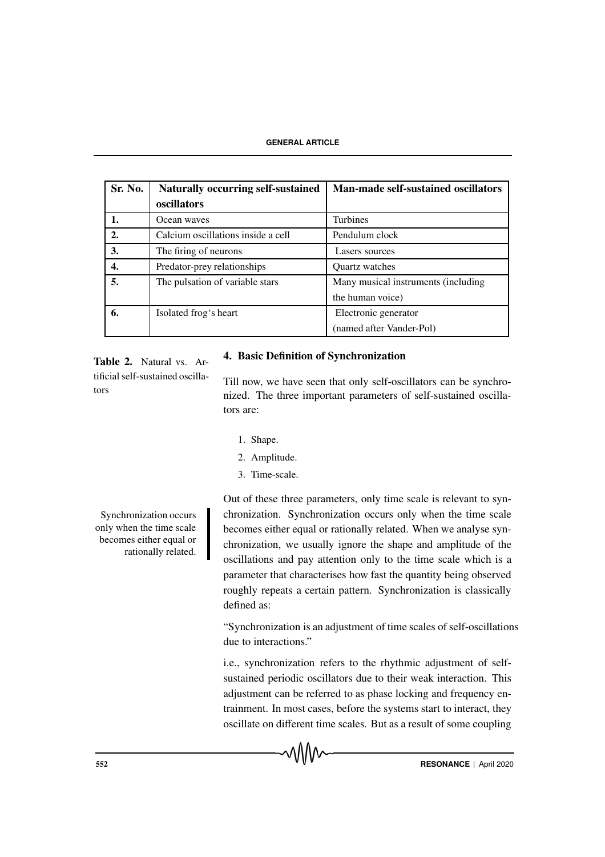| Sr. No. | Naturally occurring self-sustained | <b>Man-made self-sustained oscillators</b> |
|---------|------------------------------------|--------------------------------------------|
|         | oscillators                        |                                            |
| 1.      | Ocean waves                        | <b>Turbines</b>                            |
| 2.      | Calcium oscillations inside a cell | Pendulum clock                             |
| 3.      | The firing of neurons              | Lasers sources                             |
| 4.      | Predator-prey relationships        | <b>Ouartz</b> watches                      |
| 5.      | The pulsation of variable stars    | Many musical instruments (including        |
|         |                                    | the human voice)                           |
| 6.      | Isolated frog's heart              | Electronic generator                       |
|         |                                    | (named after Vander-Pol)                   |

Table 2. Natural vs. Artificial self-sustained oscillators

# 4. Basic Definition of Synchronization

Till now, we have seen that only self-oscillators can be synchronized. The three important parameters of self-sustained oscillators are:

- 1. Shape.
- 2. Amplitude.
- 3. Time-scale.

only when the time scale becomes either equal or rationally related.

Out of these three parameters, only time scale is relevant to syn-Synchronization occurs chronization. Synchronization occurs only when the time scale becomes either equal or rationally related. When we analyse synchronization, we usually ignore the shape and amplitude of the oscillations and pay attention only to the time scale which is a parameter that characterises how fast the quantity being observed roughly repeats a certain pattern. Synchronization is classically defined as:

> "Synchronization is an adjustment of time scales of self-oscillations due to interactions."

i.e., synchronization refers to the rhythmic adjustment of selfsustained periodic oscillators due to their weak interaction. This adjustment can be referred to as phase locking and frequency entrainment. In most cases, before the systems start to interact, they oscillate on different time scales. But as a result of some coupling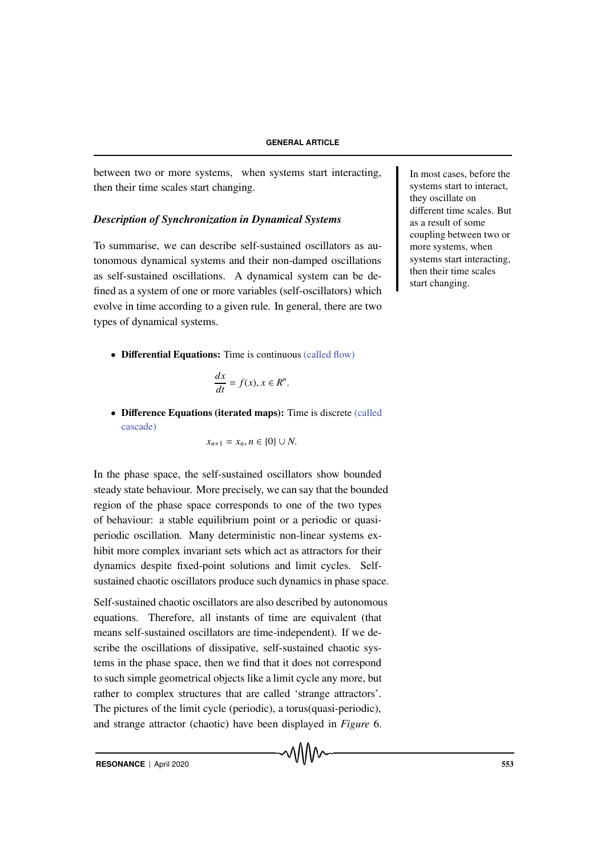between two or more systems, when systems start interacting, In most cases, before the then their time scales start changing.

# *Description of Synchronization in Dynamical Systems*

To summarise, we can describe self-sustained oscillators as autonomous dynamical systems and their non-damped oscillations as self-sustained oscillations. A dynamical system can be defined as a system of one or more variables (self-oscillators) which evolve in time according to a given rule. In general, there are two types of dynamical systems.

• Differential Equations: Time is continuous (called flow)

$$
\frac{dx}{dt} = f(x), x \in R^n.
$$

• Difference Equations (iterated maps): Time is discrete (called cascade)

*x<sub>n+1</sub>* = *x<sub>n</sub>*, *n* ∈ {0} ∪ *N*.

In the phase space, the self-sustained oscillators show bounded steady state behaviour. More precisely, we can say that the bounded region of the phase space corresponds to one of the two types of behaviour: a stable equilibrium point or a periodic or quasiperiodic oscillation. Many deterministic non-linear systems exhibit more complex invariant sets which act as attractors for their dynamics despite fixed-point solutions and limit cycles. Selfsustained chaotic oscillators produce such dynamics in phase space.

Self-sustained chaotic oscillators are also described by autonomous equations. Therefore, all instants of time are equivalent (that means self-sustained oscillators are time-independent). If we describe the oscillations of dissipative, self-sustained chaotic systems in the phase space, then we find that it does not correspond to such simple geometrical objects like a limit cycle any more, but rather to complex structures that are called 'strange attractors'. The pictures of the limit cycle (periodic), a torus(quasi-periodic), and strange attractor (chaotic) have been displayed in *Figure* 6.

systems start to interact, they oscillate on different time scales. But as a result of some coupling between two or more systems, when systems start interacting, then their time scales start changing.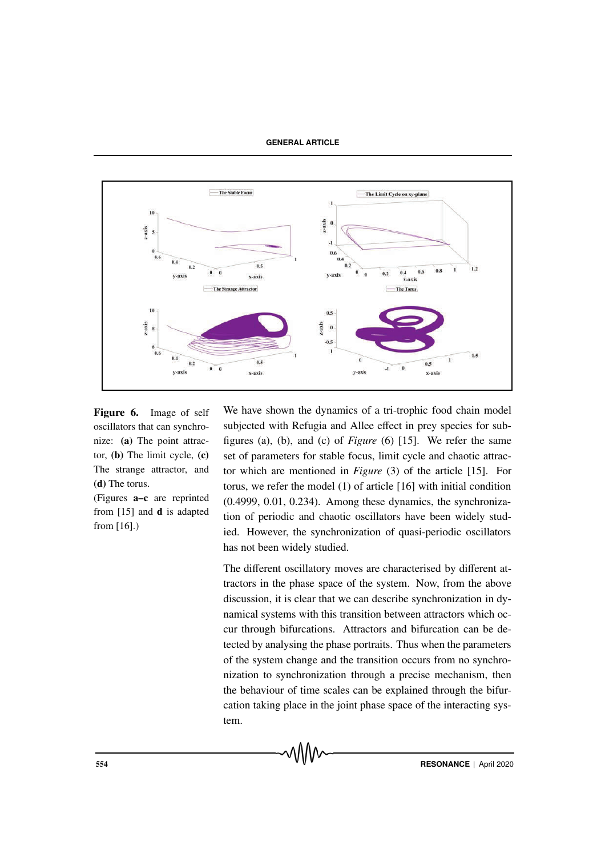

Figure 6. Image of self oscillators that can synchronize: (a) The point attractor, (b) The limit cycle, (c) The strange attractor, and (d) The torus.

(Figures a–c are reprinted from  $[15]$  and **d** is adapted from [16].)

We have shown the dynamics of a tri-trophic food chain model subjected with Refugia and Allee effect in prey species for subfigures (a), (b), and (c) of *Figure* (6) [15]. We refer the same set of parameters for stable focus, limit cycle and chaotic attractor which are mentioned in *Figure* (3) of the article [15]. For torus, we refer the model (1) of article [16] with initial condition (0.4999, 0.01, 0.234). Among these dynamics, the synchronization of periodic and chaotic oscillators have been widely studied. However, the synchronization of quasi-periodic oscillators has not been widely studied.

The different oscillatory moves are characterised by different attractors in the phase space of the system. Now, from the above discussion, it is clear that we can describe synchronization in dynamical systems with this transition between attractors which occur through bifurcations. Attractors and bifurcation can be detected by analysing the phase portraits. Thus when the parameters of the system change and the transition occurs from no synchronization to synchronization through a precise mechanism, then the behaviour of time scales can be explained through the bifurcation taking place in the joint phase space of the interacting system.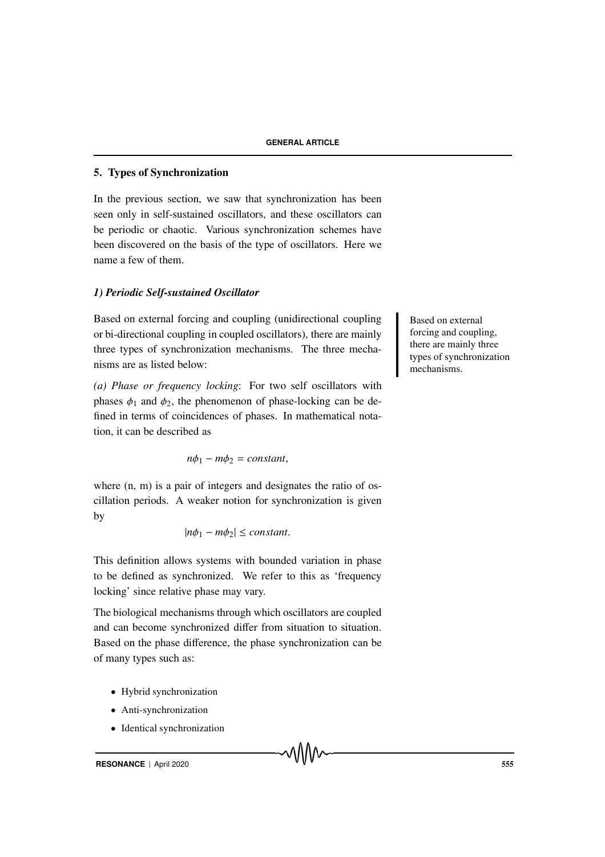# 5. Types of Synchronization

In the previous section, we saw that synchronization has been seen only in self-sustained oscillators, and these oscillators can be periodic or chaotic. Various synchronization schemes have been discovered on the basis of the type of oscillators. Here we name a few of them.

# *1) Periodic Self-sustained Oscillator*

Based on external forcing and coupling (unidirectional coupling Based on external or bi-directional coupling in coupled oscillators), there are mainly three types of synchronization mechanisms. The three mechanisms are as listed below:

*(a) Phase or frequency locking*: For two self oscillators with phases  $\phi_1$  and  $\phi_2$ , the phenomenon of phase-locking can be defined in terms of coincidences of phases. In mathematical notation, it can be described as

$$
n\phi_1 - m\phi_2 = constant,
$$

where  $(n, m)$  is a pair of integers and designates the ratio of oscillation periods. A weaker notion for synchronization is given by

$$
|n\phi_1 - m\phi_2| \leq constant.
$$

This definition allows systems with bounded variation in phase to be defined as synchronized. We refer to this as 'frequency locking' since relative phase may vary.

The biological mechanisms through which oscillators are coupled and can become synchronized differ from situation to situation. Based on the phase difference, the phase synchronization can be of many types such as:

- Hybrid synchronization
- Anti-synchronization
- Identical synchronization

forcing and coupling, there are mainly three types of synchronization mechanisms.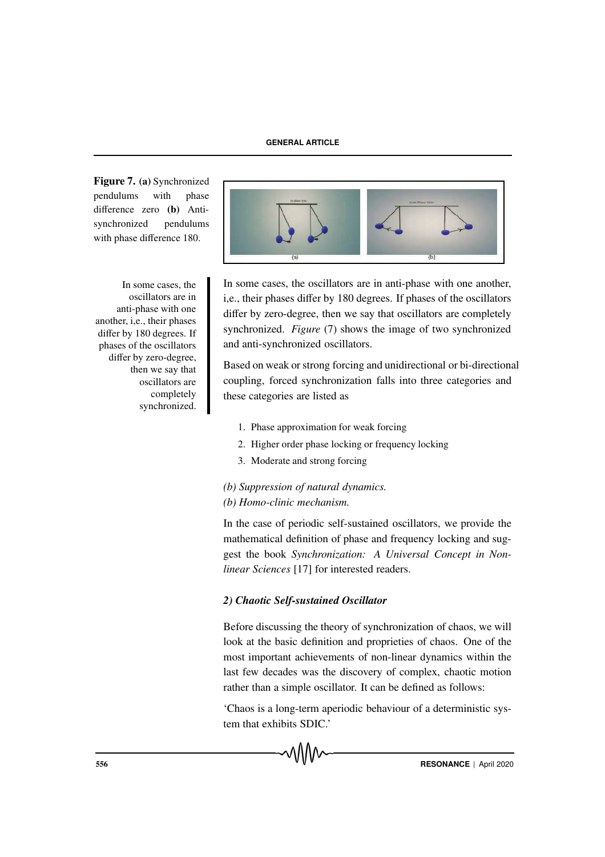Figure 7. (a) Synchronized pendulums with phase difference zero (b) Antisynchronized pendulums with phase difference 180.

In some cases, the oscillators are in anti-phase with one another, i,e., their phases differ by 180 degrees. If phases of the oscillators differ by zero-degree, then we say that oscillators are completely synchronized.



In some cases, the oscillators are in anti-phase with one another, i,e., their phases differ by 180 degrees. If phases of the oscillators differ by zero-degree, then we say that oscillators are completely synchronized. *Figure* (7) shows the image of two synchronized and anti-synchronized oscillators.

Based on weak or strong forcing and unidirectional or bi-directional coupling, forced synchronization falls into three categories and these categories are listed as

- 1. Phase approximation for weak forcing
- 2. Higher order phase locking or frequency locking
- 3. Moderate and strong forcing

# *(b) Suppression of natural dynamics. (b) Homo-clinic mechanism.*

In the case of periodic self-sustained oscillators, we provide the mathematical definition of phase and frequency locking and suggest the book *Synchronization: A Universal Concept in Nonlinear Sciences* [17] for interested readers.

# *2) Chaotic Self-sustained Oscillator*

Before discussing the theory of synchronization of chaos, we will look at the basic definition and proprieties of chaos. One of the most important achievements of non-linear dynamics within the last few decades was the discovery of complex, chaotic motion rather than a simple oscillator. It can be defined as follows:

'Chaos is a long-term aperiodic behaviour of a deterministic system that exhibits SDIC.'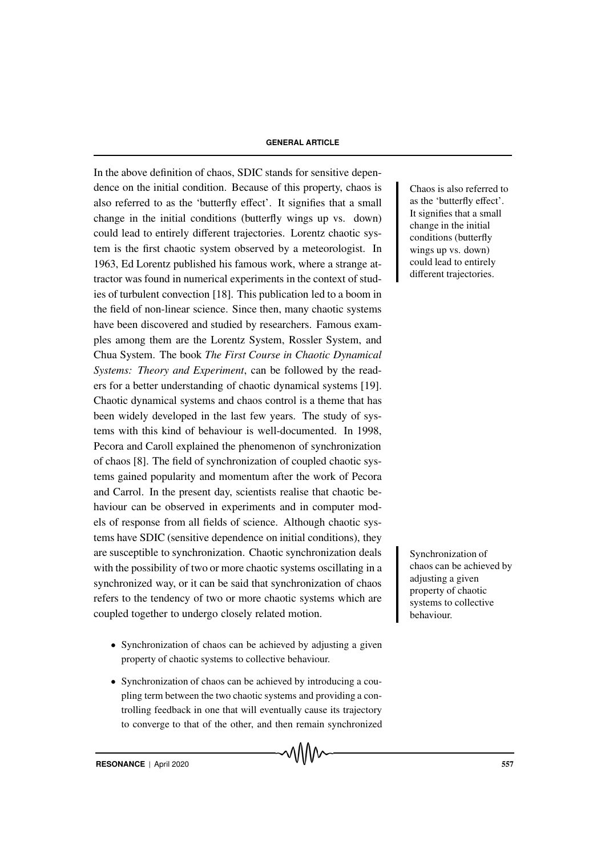In the above definition of chaos, SDIC stands for sensitive dependence on the initial condition. Because of this property, chaos is Chaos is also referred to also referred to as the 'butterfly effect'. It signifies that a small change in the initial conditions (butterfly wings up vs. down) could lead to entirely different trajectories. Lorentz chaotic system is the first chaotic system observed by a meteorologist. In 1963, Ed Lorentz published his famous work, where a strange attractor was found in numerical experiments in the context of studies of turbulent convection [18]. This publication led to a boom in the field of non-linear science. Since then, many chaotic systems have been discovered and studied by researchers. Famous examples among them are the Lorentz System, Rossler System, and Chua System. The book *The First Course in Chaotic Dynamical Systems: Theory and Experiment*, can be followed by the readers for a better understanding of chaotic dynamical systems [19]. Chaotic dynamical systems and chaos control is a theme that has been widely developed in the last few years. The study of systems with this kind of behaviour is well-documented. In 1998, Pecora and Caroll explained the phenomenon of synchronization of chaos [8]. The field of synchronization of coupled chaotic systems gained popularity and momentum after the work of Pecora and Carrol. In the present day, scientists realise that chaotic behaviour can be observed in experiments and in computer models of response from all fields of science. Although chaotic systems have SDIC (sensitive dependence on initial conditions), they are susceptible to synchronization. Chaotic synchronization deals Synchronization of with the possibility of two or more chaotic systems oscillating in a synchronized way, or it can be said that synchronization of chaos refers to the tendency of two or more chaotic systems which are coupled together to undergo closely related motion.

- Synchronization of chaos can be achieved by adjusting a given property of chaotic systems to collective behaviour.
- Synchronization of chaos can be achieved by introducing a coupling term between the two chaotic systems and providing a controlling feedback in one that will eventually cause its trajectory to converge to that of the other, and then remain synchronized

as the 'butterfly effect'. It signifies that a small change in the initial conditions (butterfly wings up vs. down) could lead to entirely different trajectories.

chaos can be achieved by adjusting a given property of chaotic systems to collective behaviour.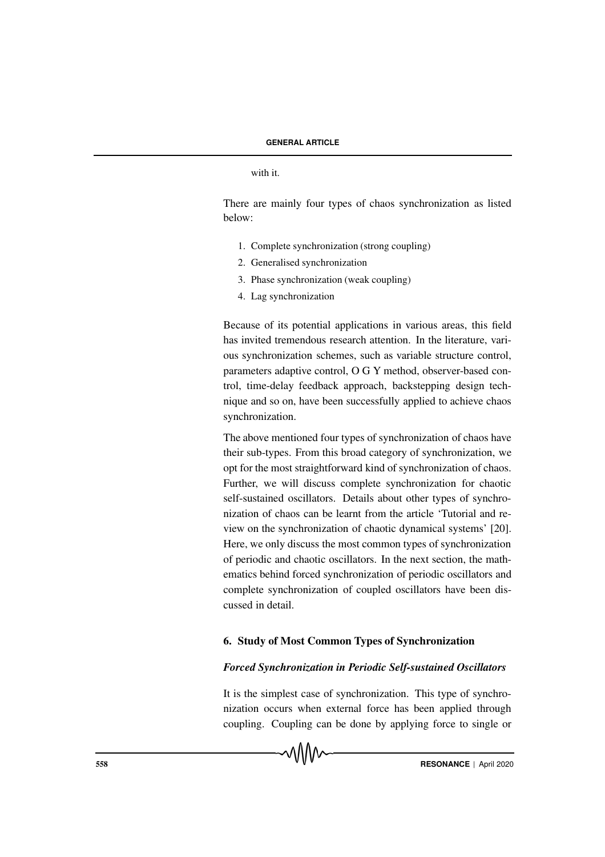with it.

There are mainly four types of chaos synchronization as listed below:

- 1. Complete synchronization (strong coupling)
- 2. Generalised synchronization
- 3. Phase synchronization (weak coupling)
- 4. Lag synchronization

Because of its potential applications in various areas, this field has invited tremendous research attention. In the literature, various synchronization schemes, such as variable structure control, parameters adaptive control, O G Y method, observer-based control, time-delay feedback approach, backstepping design technique and so on, have been successfully applied to achieve chaos synchronization.

The above mentioned four types of synchronization of chaos have their sub-types. From this broad category of synchronization, we opt for the most straightforward kind of synchronization of chaos. Further, we will discuss complete synchronization for chaotic self-sustained oscillators. Details about other types of synchronization of chaos can be learnt from the article 'Tutorial and review on the synchronization of chaotic dynamical systems' [20]. Here, we only discuss the most common types of synchronization of periodic and chaotic oscillators. In the next section, the mathematics behind forced synchronization of periodic oscillators and complete synchronization of coupled oscillators have been discussed in detail.

# 6. Study of Most Common Types of Synchronization

# *Forced Synchronization in Periodic Self-sustained Oscillators*

It is the simplest case of synchronization. This type of synchronization occurs when external force has been applied through coupling. Coupling can be done by applying force to single or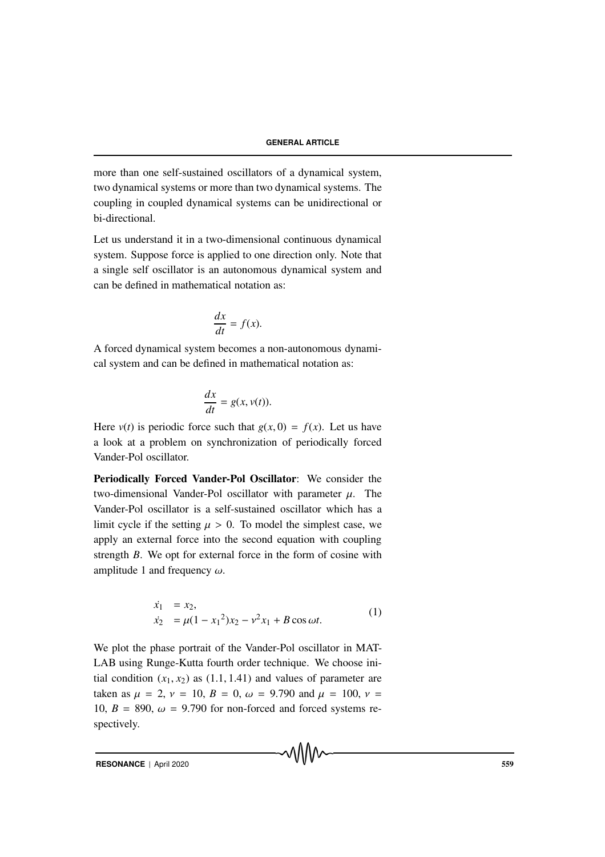more than one self-sustained oscillators of a dynamical system, two dynamical systems or more than two dynamical systems. The coupling in coupled dynamical systems can be unidirectional or bi-directional.

Let us understand it in a two-dimensional continuous dynamical system. Suppose force is applied to one direction only. Note that a single self oscillator is an autonomous dynamical system and can be defined in mathematical notation as:

$$
\frac{dx}{dt} = f(x).
$$

A forced dynamical system becomes a non-autonomous dynamical system and can be defined in mathematical notation as:

$$
\frac{dx}{dt} = g(x, v(t)).
$$

Here  $v(t)$  is periodic force such that  $g(x, 0) = f(x)$ . Let us have a look at a problem on synchronization of periodically forced Vander-Pol oscillator.

Periodically Forced Vander-Pol Oscillator: We consider the two-dimensional Vander-Pol oscillator with parameter  $\mu$ . The Vander-Pol oscillator is a self-sustained oscillator which has a limit cycle if the setting  $\mu > 0$ . To model the simplest case, we apply an external force into the second equation with coupling strength *B*. We opt for external force in the form of cosine with amplitude 1 and frequency  $\omega$ .

$$
\dot{x}_1 = x_2,\n\dot{x}_2 = \mu(1 - x_1^2)x_2 - v^2 x_1 + B \cos \omega t.
$$
\n(1)

√∖∖∖∧∽

We plot the phase portrait of the Vander-Pol oscillator in MAT-LAB using Runge-Kutta fourth order technique. We choose initial condition  $(x_1, x_2)$  as  $(1.1, 1.41)$  and values of parameter are taken as  $\mu = 2$ ,  $\nu = 10$ ,  $B = 0$ ,  $\omega = 9.790$  and  $\mu = 100$ ,  $\nu =$ 10,  $B = 890$ ,  $\omega = 9.790$  for non-forced and forced systems respectively.

**RESONANCE** | April 2020 559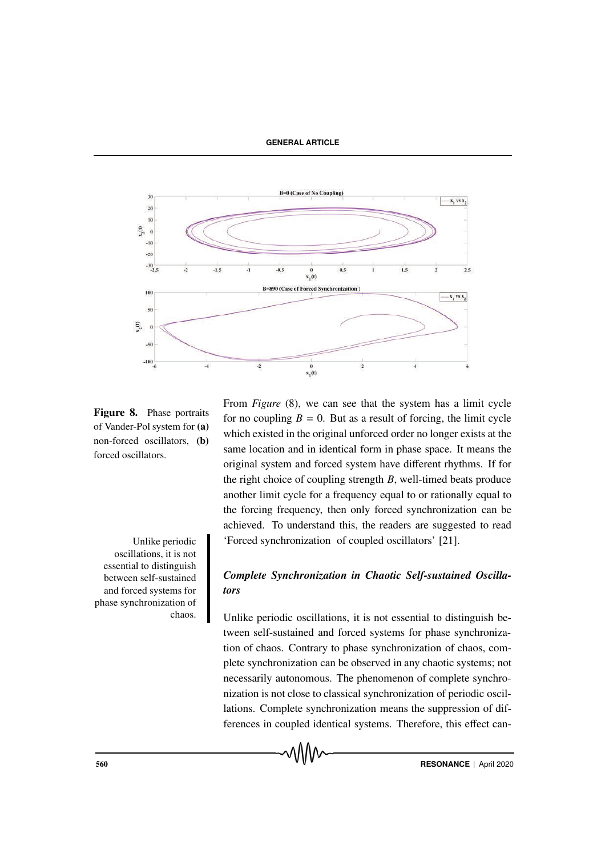

Figure 8. Phase portraits of Vander-Pol system for (a) non-forced oscillators, (b) forced oscillators.

oscillations, it is not essential to distinguish between self-sustained and forced systems for phase synchronization of chaos.

From *Figure* (8), we can see that the system has a limit cycle for no coupling  $B = 0$ . But as a result of forcing, the limit cycle which existed in the original unforced order no longer exists at the same location and in identical form in phase space. It means the original system and forced system have different rhythms. If for the right choice of coupling strength *B*, well-timed beats produce another limit cycle for a frequency equal to or rationally equal to the forcing frequency, then only forced synchronization can be achieved. To understand this, the readers are suggested to read Unlike periodic **Forced** synchronization of coupled oscillators' [21].

# *Complete Synchronization in Chaotic Self-sustained Oscillators*

Unlike periodic oscillations, it is not essential to distinguish between self-sustained and forced systems for phase synchronization of chaos. Contrary to phase synchronization of chaos, complete synchronization can be observed in any chaotic systems; not necessarily autonomous. The phenomenon of complete synchronization is not close to classical synchronization of periodic oscillations. Complete synchronization means the suppression of differences in coupled identical systems. Therefore, this effect can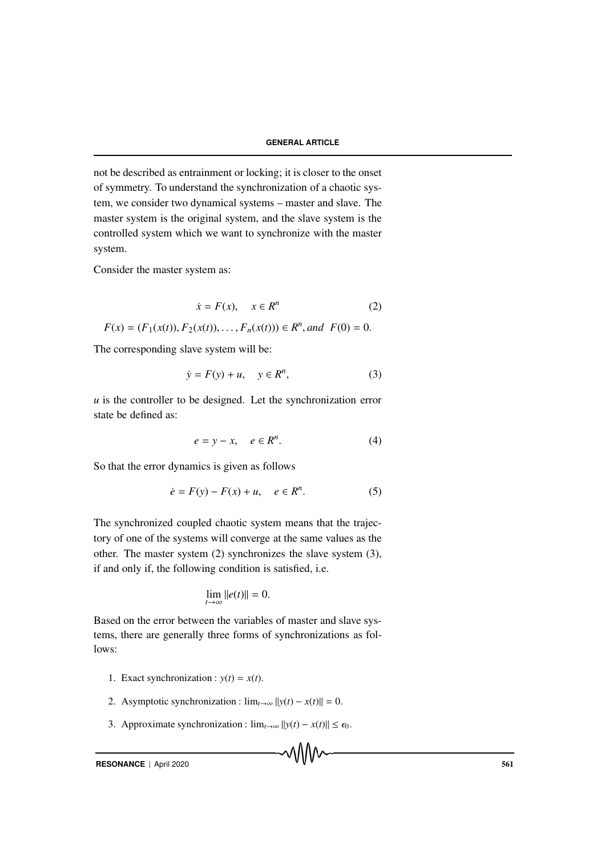not be described as entrainment or locking; it is closer to the onset of symmetry. To understand the synchronization of a chaotic system, we consider two dynamical systems – master and slave. The master system is the original system, and the slave system is the controlled system which we want to synchronize with the master system.

Consider the master system as:

$$
\dot{x} = F(x), \quad x \in \mathbb{R}^n \tag{2}
$$

$$
F(x) = (F_1(x(t)), F_2(x(t)), \dots, F_n(x(t))) \in R^n, and F(0) = 0.
$$

The corresponding slave system will be:

$$
\dot{y} = F(y) + u, \quad y \in R^n,\tag{3}
$$

 *is the controller to be designed. Let the synchronization error* state be defined as:

$$
e = y - x, \quad e \in R^n. \tag{4}
$$

So that the error dynamics is given as follows

$$
\dot{e} = F(y) - F(x) + u, \quad e \in R^n. \tag{5}
$$

The synchronized coupled chaotic system means that the trajectory of one of the systems will converge at the same values as the other. The master system (2) synchronizes the slave system (3), if and only if, the following condition is satisfied, i.e.

$$
\lim_{t\to\infty}||e(t)||=0.
$$

Based on the error between the variables of master and slave systems, there are generally three forms of synchronizations as follows:

- 1. Exact synchronization :  $y(t) = x(t)$ .
- 2. Asymptotic synchronization :  $\lim_{t\to\infty} ||y(t) x(t)|| = 0$ .
- 3. Approximate synchronization :  $\lim_{t\to\infty} ||y(t) x(t)|| \leq \epsilon_0$ .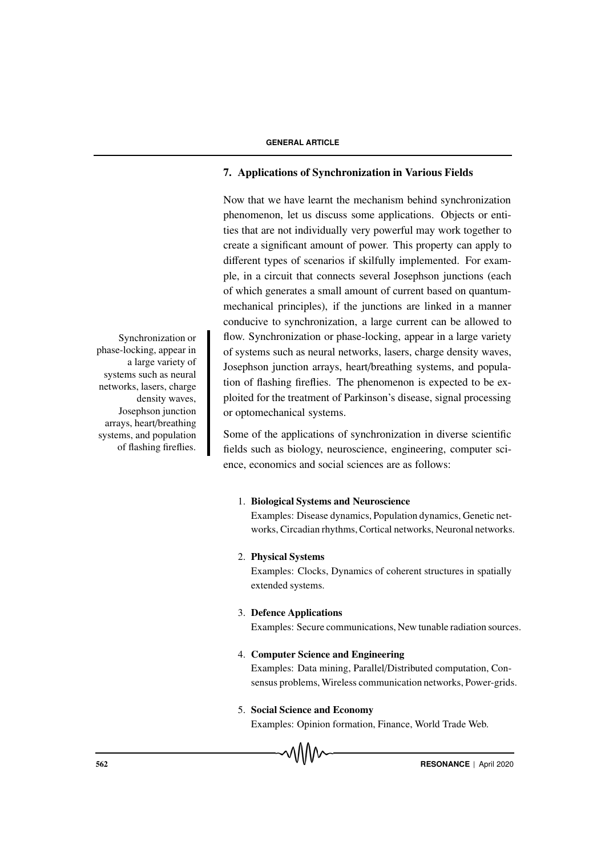# 7. Applications of Synchronization in Various Fields

Now that we have learnt the mechanism behind synchronization phenomenon, let us discuss some applications. Objects or entities that are not individually very powerful may work together to create a significant amount of power. This property can apply to different types of scenarios if skilfully implemented. For example, in a circuit that connects several Josephson junctions (each of which generates a small amount of current based on quantummechanical principles), if the junctions are linked in a manner conducive to synchronization, a large current can be allowed to Synchronization or **flow.** Synchronization or phase-locking, appear in a large variety of systems such as neural networks, lasers, charge density waves, Josephson junction arrays, heart/breathing systems, and population of flashing fireflies. The phenomenon is expected to be exploited for the treatment of Parkinson's disease, signal processing or optomechanical systems.

> Some of the applications of synchronization in diverse scientific fields such as biology, neuroscience, engineering, computer science, economics and social sciences are as follows:

#### 1. Biological Systems and Neuroscience

Examples: Disease dynamics, Population dynamics, Genetic networks, Circadian rhythms, Cortical networks, Neuronal networks.

#### 2. Physical Systems

Examples: Clocks, Dynamics of coherent structures in spatially extended systems.

#### 3. Defence Applications

Examples: Secure communications, New tunable radiation sources.

# 4. Computer Science and Engineering

Examples: Data mining, Parallel/Distributed computation, Consensus problems, Wireless communication networks, Power-grids.

# 5. Social Science and Economy Examples: Opinion formation, Finance, World Trade Web.

562 **RESONANCE** | April 2020

phase-locking, appear in a large variety of systems such as neural networks, lasers, charge density waves, Josephson junction arrays, heart/breathing systems, and population of flashing fireflies.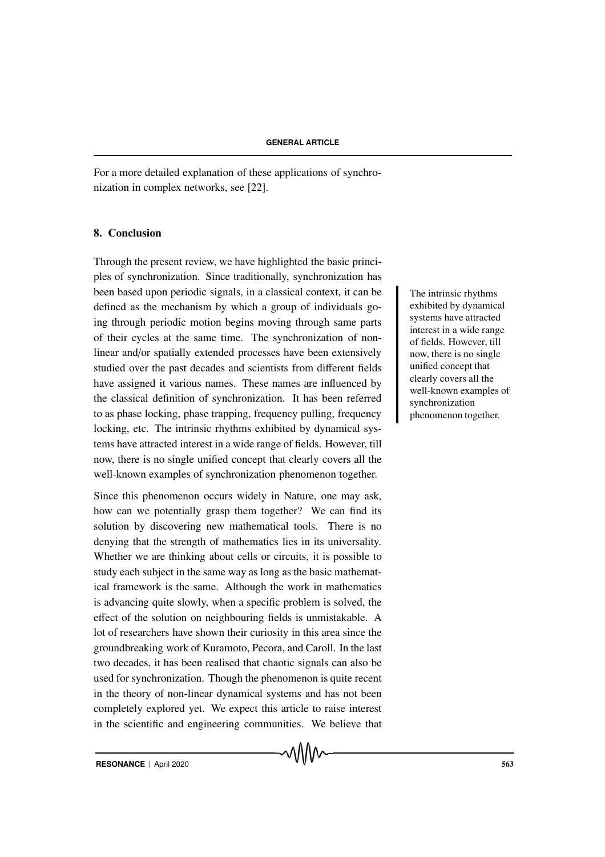For a more detailed explanation of these applications of synchronization in complex networks, see [22].

# 8. Conclusion

Through the present review, we have highlighted the basic principles of synchronization. Since traditionally, synchronization has been based upon periodic signals, in a classical context, it can be The intrinsic rhythms defined as the mechanism by which a group of individuals going through periodic motion begins moving through same parts of their cycles at the same time. The synchronization of nonlinear and/or spatially extended processes have been extensively studied over the past decades and scientists from different fields have assigned it various names. These names are influenced by the classical definition of synchronization. It has been referred to as phase locking, phase trapping, frequency pulling, frequency locking, etc. The intrinsic rhythms exhibited by dynamical systems have attracted interest in a wide range of fields. However, till now, there is no single unified concept that clearly covers all the well-known examples of synchronization phenomenon together.

Since this phenomenon occurs widely in Nature, one may ask, how can we potentially grasp them together? We can find its solution by discovering new mathematical tools. There is no denying that the strength of mathematics lies in its universality. Whether we are thinking about cells or circuits, it is possible to study each subject in the same way as long as the basic mathematical framework is the same. Although the work in mathematics is advancing quite slowly, when a specific problem is solved, the effect of the solution on neighbouring fields is unmistakable. A lot of researchers have shown their curiosity in this area since the groundbreaking work of Kuramoto, Pecora, and Caroll. In the last two decades, it has been realised that chaotic signals can also be used for synchronization. Though the phenomenon is quite recent in the theory of non-linear dynamical systems and has not been completely explored yet. We expect this article to raise interest in the scientific and engineering communities. We believe that exhibited by dynamical systems have attracted interest in a wide range of fields. However, till now, there is no single unified concept that clearly covers all the well-known examples of synchronization phenomenon together.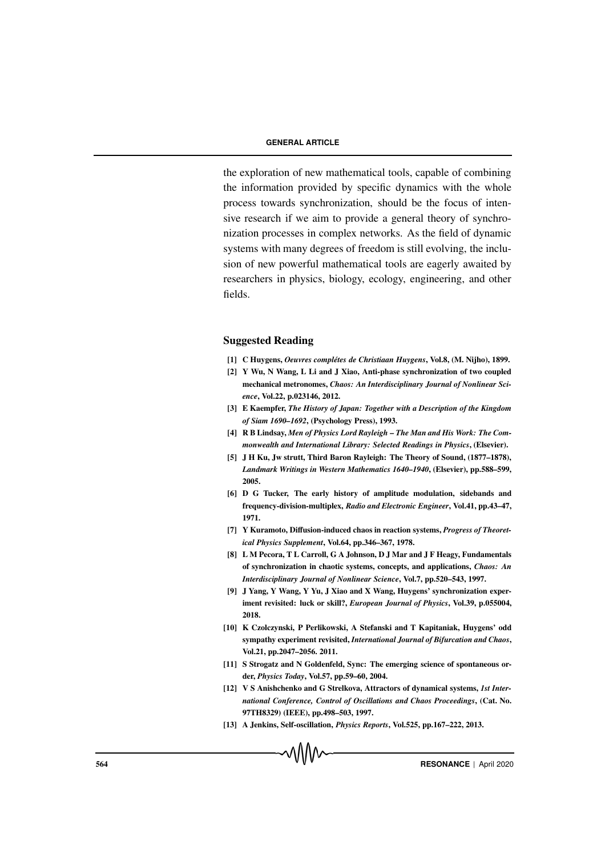the exploration of new mathematical tools, capable of combining the information provided by specific dynamics with the whole process towards synchronization, should be the focus of intensive research if we aim to provide a general theory of synchronization processes in complex networks. As the field of dynamic systems with many degrees of freedom is still evolving, the inclusion of new powerful mathematical tools are eagerly awaited by researchers in physics, biology, ecology, engineering, and other fields.

# Suggested Reading

- [1] C Huygens, *Oeuvres complétes de Christiaan Huygens*, Vol.8, (M. Nijho), 1899.
- [2] Y Wu, N Wang, L Li and J Xiao, Anti-phase synchronization of two coupled mechanical metronomes, *Chaos: An Interdisciplinary Journal of Nonlinear Science*, Vol.22, p.023146, 2012.
- [3] E Kaempfer, *The History of Japan: Together with a Description of the Kingdom of Siam 1690–1692*, (Psychology Press), 1993.
- [4] R B Lindsay, *Men of Physics Lord Rayleigh The Man and His Work: The Commonwealth and International Library: Selected Readings in Physics*, (Elsevier).
- [5] J H Ku, Jw strutt, Third Baron Rayleigh: The Theory of Sound, (1877–1878), *Landmark Writings in Western Mathematics 1640–1940*, (Elsevier), pp.588–599, 2005.
- [6] D G Tucker, The early history of amplitude modulation, sidebands and frequency-division-multiplex, *Radio and Electronic Engineer*, Vol.41, pp.43–47, 1971.
- [7] Y Kuramoto, Diffusion-induced chaos in reaction systems, *Progress of Theoretical Physics Supplement*, Vol.64, pp.346–367, 1978.
- [8] L M Pecora, T L Carroll, G A Johnson, D J Mar and J F Heagy, Fundamentals of synchronization in chaotic systems, concepts, and applications, *Chaos: An Interdisciplinary Journal of Nonlinear Science*, Vol.7, pp.520–543, 1997.
- [9] J Yang, Y Wang, Y Yu, J Xiao and X Wang, Huygens' synchronization experiment revisited: luck or skill?, *European Journal of Physics*, Vol.39, p.055004, 2018.
- [10] K Czolczynski, P Perlikowski, A Stefanski and T Kapitaniak, Huygens' odd sympathy experiment revisited, *International Journal of Bifurcation and Chaos*, Vol.21, pp.2047–2056. 2011.
- [11] S Strogatz and N Goldenfeld, Sync: The emerging science of spontaneous order, *Physics Today*, Vol.57, pp.59–60, 2004.
- [12] V S Anishchenko and G Strelkova, Attractors of dynamical systems, *1st International Conference, Control of Oscillations and Chaos Proceedings*, (Cat. No. 97TH8329) (IEEE), pp.498–503, 1997.
- [13] A Jenkins, Self-oscillation, *Physics Reports*, Vol.525, pp.167–222, 2013.